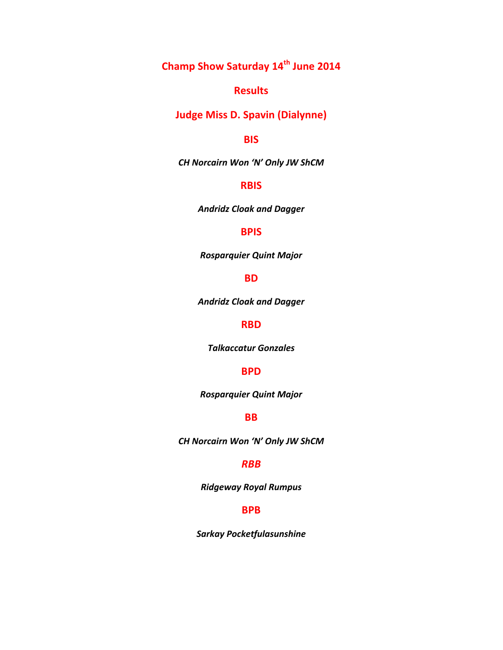**Champ Show Saturday 14th June 2014**

# **Results**

**Judge Miss D. Spavin (Dialynne)** 

# **BIS**

*CH Norcairn Won 'N' Only JW ShCM*

# **RBIS**

*Andridz Cloak and Dagger*

# **BPIS**

*Rosparquier Quint Major*

## **BD**

*Andridz Cloak and Dagger*

# **RBD**

*Talkaccatur Gonzales*

### **BPD**

*Rosparquier Quint Major*

# **BB**

*CH Norcairn Won 'N' Only JW ShCM*

## *RBB*

*Ridgeway Royal Rumpus*

## **BPB**

*Sarkay Pocketfulasunshine*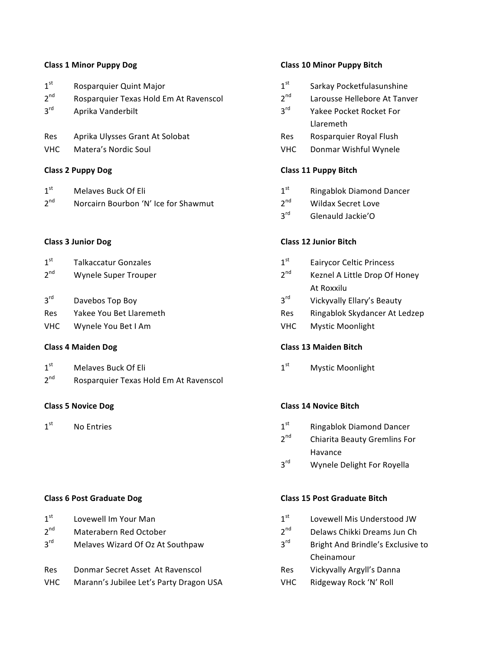| 1 <sup>st</sup> | Rosparquier Quint Major                | 1 <sup>st</sup> | Sarkay Pocketfulasunshine    |
|-----------------|----------------------------------------|-----------------|------------------------------|
| $2^{nd}$        | Rosparquier Texas Hold Em At Ravenscol | $2^{nd}$        | Larousse Hellebore At Tanver |
| 3 <sup>rd</sup> | Aprika Vanderbilt                      | $2^{\text{rd}}$ | Yakee Pocket Rocket For      |
|                 |                                        |                 | Llaremeth                    |
| <b>Res</b>      | Aprika Ulysses Grant At Solobat        | Res             | Rosparquier Royal Flush      |
| <b>VHC</b>      | Matera's Nordic Soul                   | VHC             | Donmar Wishful Wynele        |

### **Class 2 Puppy Dog**

| 1 <sup>st</sup> | Melaves Buck Of Eli                  | $1^{st}$        | <b>Ringablok Diamond Dancer</b> |
|-----------------|--------------------------------------|-----------------|---------------------------------|
| 2 <sup>nd</sup> | Norcairn Bourbon 'N' Ice for Shawmut | $2^{\text{nd}}$ | <b>Wildax Secret Love</b>       |

### **Class 3 Junior Dog**

| 1 <sup>st</sup> | <b>Talkaccatur Gonzales</b> | 1 <sup>st</sup> | <b>Eairycor Celtic Princess</b> |
|-----------------|-----------------------------|-----------------|---------------------------------|
| $2^{nd}$        | Wynele Super Trouper        | $2^{nd}$        | Keznel A Little Drop Of Honey   |
|                 |                             |                 | At Roxxilu                      |
| $3^{\text{rd}}$ | Davebos Top Boy             | $3^{\text{rd}}$ | Vickyvally Ellary's Beauty      |
| <b>Res</b>      | Yakee You Bet Llaremeth     | Res             | Ringablok Skydancer At Ledze    |
|                 |                             |                 |                                 |

VHC Wynele You Bet I Am VIC Wystic Moonlight

### **Class 4 Maiden Dog Class 4 Maiden Bitch**

| -1 - - | Melaves Buck Of Eli |  |
|--------|---------------------|--|
|        |                     |  |

2<sup>nd</sup> Rosparquier Texas Hold Em At Ravenscol

| $1^{\rm st}$    | Lovewell Im Your Man             | $1^{st}$        | Lovewell Mis Understood JW            |
|-----------------|----------------------------------|-----------------|---------------------------------------|
| 2 <sup>nd</sup> | Materabern Red October           | 2 <sub>nd</sub> | Delaws Chikki Dreams Jun Ch           |
| $2^{\text{rd}}$ | Melayes Wizard Of Oz At Southnaw | ∽rd             | <b>Rright And Brindle's Exclusive</b> |

| Res | Donmar Secret Asset At Ravenscol |
|-----|----------------------------------|
|     |                                  |

VHC Marann's Jubilee Let's Party Dragon USA VHC Ridgeway Rock 'N' Roll

### **Class 1 Minor Puppy Dog Class 10 Minor Puppy Bitch**

| 1 <sup>st</sup> | Sarkay Pocketfulasunshine       |
|-----------------|---------------------------------|
| 2 <sup>nd</sup> | Larousse Hellebore At Tanver    |
| 3 <sup>rd</sup> | Yakee Pocket Rocket For         |
|                 | Llaremeth                       |
| Res             | Rosparquier Royal Flush         |
| VHC             | Donmar Wishful Wynele           |
|                 | <b>Class 11 Puppy Bitch</b>     |
| 1 <sup>st</sup> | <b>Ringablok Diamond Dancer</b> |
| 2 <sup>nd</sup> | Wildax Secret Love              |
| $3^{\text{rd}}$ | Glenauld Jackie'O               |
|                 | <b>Class 12 Junior Bitch</b>    |
| 1 <sup>st</sup> | <b>Eairycor Celtic Princess</b> |
| 2 <sup>nd</sup> | Keznel A Little Drop Of Honey   |
|                 | At Roxxilu                      |
| 3 <sup>rd</sup> | Vickyvally Ellary's Beauty      |
| Res             | Ringablok Skydancer At Ledzep   |

 $1^{\text{st}}$  Melaves Buck Of Eli **1st Mystic Moonlight** Mystic Moonlight

## **Class 5 Novice Dog Class 14 Novice Bitch**

- $1<sup>st</sup>$  No Entries 2nd 1st Ringablok Diamond Dancer
	- 2<sup>nd</sup> Chiarita Beauty Gremlins For Havance
	- 3rd Wynele Delight For Royella

### **Class 6 Post Graduate Dog Class 15 Post Graduate Bitch**

| 1 st |  | Lovewell Mis Understood JW |
|------|--|----------------------------|
|      |  |                            |

| .nd |  | Delaws Chikki Dreams Jun Ch |  |
|-----|--|-----------------------------|--|
|     |  |                             |  |

- Melaves Wizard Of Oz At Southpaw  $3<sup>rd</sup>$  Bright And Brindle's Exclusive to Cheinamour
	- Res Vickyvally Argyll's Danna
	-